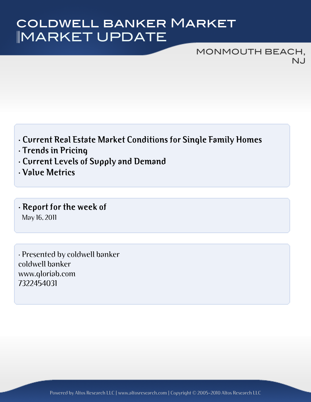# MARKET UPDATE coldwell banker Market

MONMOUTH BEACH, NJ

- **· Current Real Estate Market Conditions for Single Family Homes**
- **· Trends in Pricing**
- **· Current Levels of Supply and Demand**
- **· Value Metrics**
- **· Report for the week of** May 16, 2011

· Presented by coldwell banker coldwell banker www.gloriab.com 7322454031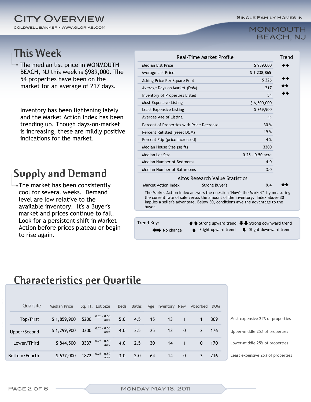Single Family Homes in

#### coldwell banker - www.gloriab.com **CITY OVERVIEW**

#### MONMOUTH BEACH, NJ

#### **This Week**

The median list price in MONMOUTH BEACH, NJ this week is \$989,000. The 54 properties have been on the market for an average of 217 days.

Inventory has been lightening lately and the Market Action Index has been trending up. Though days-on-market is increasing, these are mildly positive indications for the market.

#### **Supply and Demand**

The market has been consistently cool for several weeks. Demand level are low relative to the available inventory. It's a Buyer's market and prices continue to fall. Look for a persistent shift in Market Action before prices plateau or begin to rise again.

| Median List Price                                                                                                                                                                                                                                      |                                        | \$989,000          | ∙י   |  |  |
|--------------------------------------------------------------------------------------------------------------------------------------------------------------------------------------------------------------------------------------------------------|----------------------------------------|--------------------|------|--|--|
| Average List Price                                                                                                                                                                                                                                     |                                        | \$1,238,865        |      |  |  |
| Asking Price Per Square Foot                                                                                                                                                                                                                           |                                        | \$ 326             | œ    |  |  |
| Average Days on Market (DoM)                                                                                                                                                                                                                           |                                        | 217                | r fr |  |  |
| Inventory of Properties Listed                                                                                                                                                                                                                         |                                        | 54                 |      |  |  |
| Most Expensive Listing                                                                                                                                                                                                                                 |                                        | \$6,500,000        |      |  |  |
| Least Expensive Listing                                                                                                                                                                                                                                |                                        | \$369,900          |      |  |  |
| Average Age of Listing                                                                                                                                                                                                                                 |                                        | 45                 |      |  |  |
| Percent of Properties with Price Decrease                                                                                                                                                                                                              |                                        | 30 %               |      |  |  |
| Percent Relisted (reset DOM)                                                                                                                                                                                                                           |                                        | 19 %               |      |  |  |
| Percent Flip (price increased)                                                                                                                                                                                                                         |                                        | 4 %                |      |  |  |
| Median House Size (sq ft)                                                                                                                                                                                                                              |                                        | 3300               |      |  |  |
| Median Lot Size                                                                                                                                                                                                                                        |                                        | $0.25 - 0.50$ acre |      |  |  |
| Median Number of Bedrooms                                                                                                                                                                                                                              |                                        | 4.0                |      |  |  |
| Median Number of Bathrooms                                                                                                                                                                                                                             |                                        | 3.0                |      |  |  |
|                                                                                                                                                                                                                                                        | <b>Altos Research Value Statistics</b> |                    |      |  |  |
| Market Action Index                                                                                                                                                                                                                                    | <b>Strong Buyer's</b>                  | 9.4                |      |  |  |
| The Market Action Index answers the question "How's the Market?" by measuring<br>the current rate of sale versus the amount of the inventory. Index above 30<br>implies a seller's advantage. Below 30, conditions give the advantage to the<br>buyer. |                                        |                    |      |  |  |
|                                                                                                                                                                                                                                                        |                                        |                    |      |  |  |
|                                                                                                                                                                                                                                                        |                                        |                    |      |  |  |

#### **Characteristics per Quartile**

| Quartile      | <b>Median Price</b> |      | Sq. Ft. Lot Size        | Beds | Baths        |    | Age Inventory New |                | Absorbed     | <b>DOM</b> |                                   |
|---------------|---------------------|------|-------------------------|------|--------------|----|-------------------|----------------|--------------|------------|-----------------------------------|
| Top/First     | \$1,859,900         | 5200 | $0.25 - 0.50$<br>acre   | 5.0  | 4.5          | 15 | 13                |                |              | 309        | Most expensive 25% of properties  |
| Upper/Second  | \$1,299,900         |      | 3300 $0.25 - 0.50$ acre | 4.0  | 3.5          | 25 | 13                | $\mathbf{0}$   |              | 176        | Upper-middle 25% of properties    |
| Lower/Third   | \$844,500           | 3337 | 0.25 - 0.50<br>acre     | 4.0  | $\angle$ 2.5 | 30 | 14                | $\overline{1}$ | $\mathbf{0}$ | 170        | Lower-middle 25% of properties    |
| Bottom/Fourth | \$637,000           | 1872 | $0.25 - 0.50$<br>acre   | 3.0  | 2.0          | 64 | 14                | $\mathbf 0$    |              | 216        | Least expensive 25% of properties |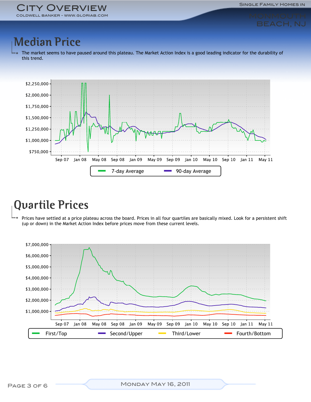Single Family Homes in

# BEACH, NJ

### **Median Price**

The market seems to have paused around this plateau. The Market Action Index is a good leading indicator for the durability of this trend.



## **Quartile Prices**

Prices have settled at a price plateau across the board. Prices in all four quartiles are basically mixed. Look for a persistent shift (up or down) in the Market Action Index before prices move from these current levels.

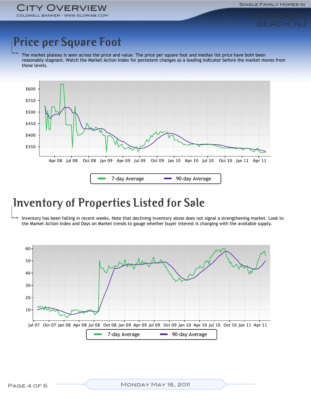# BEACH, NJ

## **Price per Square Foot**

The market plateau is seen across the price and value. The price per square foot and median list price have both been reasonably stagnant. Watch the Market Action Index for persistent changes as a leading indicator before the market moves from these levels.



#### **Inventory of Properties Listed for Sale**

Inventory has been falling in recent weeks. Note that declining inventory alone does not signal a strengthening market. Look to the Market Action Index and Days on Market trends to gauge whether buyer interest is changing with the available supply.

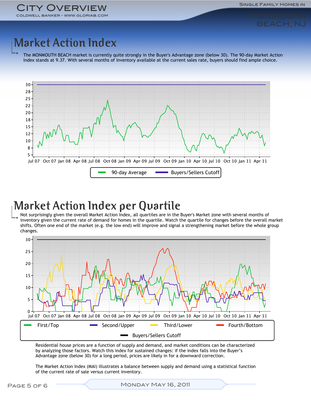

# **Market Action Index**

The MONMOUTH BEACH market is currently quite strongly in the Buyer's Advantage zone (below 30). The 90-day Market Action Index stands at 9.37. With several months of inventory available at the current sales rate, buyers should find ample choice.



# **Market Action Index per Quartile**

Not surprisingly given the overall Market Action Index, all quartiles are in the Buyer's Market zone with several months of inventory given the current rate of demand for homes in the quartile. Watch the quartile for changes before the overall market shifts. Often one end of the market (e.g. the low end) will improve and signal a strengthening market before the whole group changes.



Residential house prices are a function of supply and demand, and market conditions can be characterized by analyzing those factors. Watch this index for sustained changes: if the index falls into the Buyer's Advantage zone (below 30) for a long period, prices are likely in for a downward correction.

The Market Action Index (MAI) illustrates a balance between supply and demand using a statistical function of the current rate of sale versus current inventory.